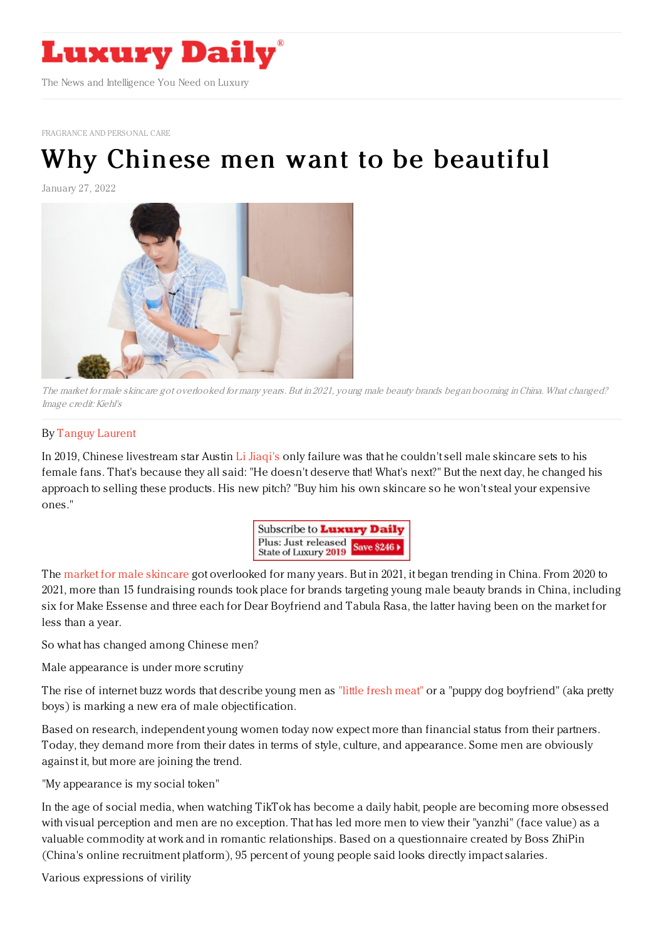

[FRAGRANCE](https://www.luxurydaily.com/category/sectors/fragrance-and-personal-care/) AND PERSONAL CARE

# Why Chinese men want to be [beautiful](https://www.luxurydaily.com/?p=344414)

January 27, 2022



The market for male skincare got overlooked for many years. But in 2021, young male beauty brands began booming inChina. What changed? Image credit: Kiehl's

#### By Tanguy [Laurent](https://jingdaily.com/author/tanguy/)

In 2019, Chinese livestream star Austin Li [Jiaqi's](https://jingdaily.com/luxury-brands-in-china-beware-the-wrath-of-li-jiaqi/) only failure was that he couldn't sell male skincare sets to his female fans. That's because they all said: "He doesn't deserve that! What's next?" But the next day, he changed his approach to selling these products. His new pitch? "Buy him his own skincare so he won't steal your expensive ones."



The market for male [skincare](https://jingdaily.com/local-male-skincare-brands-china-shakeup/) got overlooked for many years. But in 2021, it began trending in China. From 2020 to 2021, more than 15 fundraising rounds took place for brands targeting young male beauty brands in China, including six for Make Essense and three each for Dear Boyfriend and Tabula Rasa, the latter having been on the market for less than a year.

So what has changed among Chinese men?

Male appearance is under more scrutiny

The rise of internet buzz words that describe young men as "little fresh [meat"](https://jingdaily.com/little-fresh-meat-male-idols-luxury/) or a "puppy dog boyfriend" (aka pretty boys) is marking a new era of male objectification.

Based on research, independent young women today now expect more than financial status from their partners. Today, they demand more from their dates in terms of style, culture, and appearance. Some men are obviously against it, but more are joining the trend.

"My appearance is my social token"

In the age of social media, when watching TikTok has become a daily habit, people are becoming more obsessed with visual perception and men are no exception. That has led more men to view their "yanzhi" (face value) as a valuable commodity at work and in romantic relationships. Based on a questionnaire created by Boss ZhiPin (China's online recruitment platform), 95 percent of young people said looks directly impact salaries.

Various expressions of virility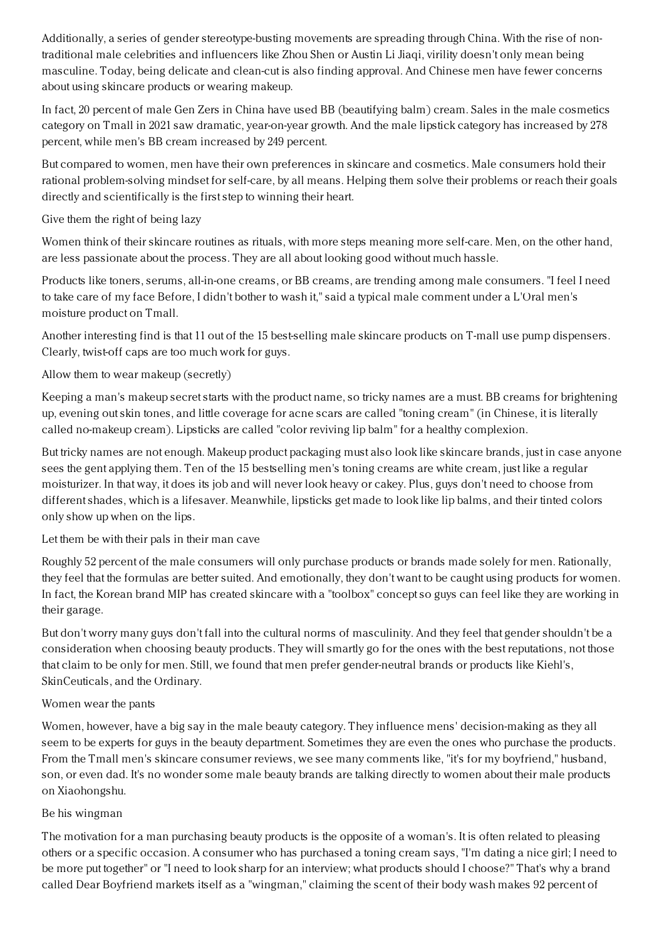Additionally, a series of gender stereotype-busting movements are spreading through China. With the rise of nontraditional male celebrities and influencers like Zhou Shen or Austin Li Jiaqi, virility doesn't only mean being masculine. Today, being delicate and clean-cut is also finding approval. And Chinese men have fewer concerns about using skincare products or wearing makeup.

In fact, 20 percent of male Gen Zers in China have used BB (beautifying balm) cream. Sales in the male cosmetics category on Tmall in 2021 saw dramatic, year-on-year growth. And the male lipstick category has increased by 278 percent, while men's BB cream increased by 249 percent.

But compared to women, men have their own preferences in skincare and cosmetics. Male consumers hold their rational problem-solving mindset for self-care, by all means. Helping them solve their problems or reach their goals directly and scientifically is the first step to winning their heart.

## Give them the right of being lazy

Women think of their skincare routines as rituals, with more steps meaning more self-care. Men, on the other hand, are less passionate about the process. They are all about looking good without much hassle.

Products like toners, serums, all-in-one creams, or BB creams, are trending among male consumers. "I feel I need to take care of my face Before, I didn't bother to wash it," said a typical male comment under a L'Oral men's moisture product on Tmall.

Another interesting find is that 11 out of the 15 best-selling male skincare products on T-mall use pump dispensers. Clearly, twist-off caps are too much work for guys.

# Allow them to wear makeup (secretly)

Keeping a man's makeup secret starts with the product name, so tricky names are a must. BB creams for brightening up, evening out skin tones, and little coverage for acne scars are called "toning cream" (in Chinese, it is literally called no-makeup cream). Lipsticks are called "color reviving lip balm" for a healthy complexion.

But tricky names are not enough. Makeup product packaging must also look like skincare brands, just in case anyone sees the gent applying them. Ten of the 15 bestselling men's toning creams are white cream, just like a regular moisturizer. In that way, it does its job and will never look heavy or cakey. Plus, guys don't need to choose from different shades, which is a lifesaver. Meanwhile, lipsticks get made to look like lip balms, and their tinted colors only show up when on the lips.

### Let them be with their pals in their man cave

Roughly 52 percent of the male consumers will only purchase products or brands made solely for men. Rationally, they feel that the formulas are better suited. And emotionally, they don't want to be caught using products for women. In fact, the Korean brand MIP has created skincare with a "toolbox" concept so guys can feel like they are working in their garage.

But don't worry many guys don't fall into the cultural norms of masculinity. And they feel that gender shouldn't be a consideration when choosing beauty products. They will smartly go for the ones with the best reputations, not those that claim to be only for men. Still, we found that men prefer gender-neutral brands or products like Kiehl's, SkinCeuticals, and the Ordinary.

### Women wear the pants

Women, however, have a big say in the male beauty category. They influence mens' decision-making as they all seem to be experts for guys in the beauty department. Sometimes they are even the ones who purchase the products. From the Tmall men's skincare consumer reviews, we see many comments like, "it's for my boyfriend," husband, son, or even dad. It's no wonder some male beauty brands are talking directly to women about their male products on Xiaohongshu.

### Be his wingman

The motivation for a man purchasing beauty products is the opposite of a woman's. It is often related to pleasing others or a specific occasion. A consumer who has purchased a toning cream says, "I'm dating a nice girl; I need to be more put together" or "I need to look sharp for an interview; what products should I choose?" That's why a brand called Dear Boyfriend markets itself as a "wingman," claiming the scent of their body wash makes 92 percent of